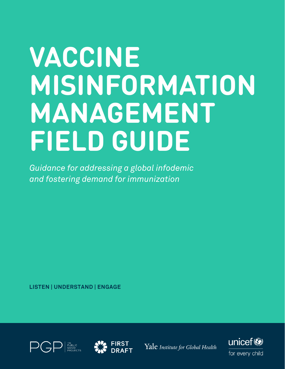# **VACCINE MISINFORMATION MANAGEMENT FIELD GUIDE**

*Guidance for addressing a global infodemic and fostering demand for immunization*

**LISTEN | UNDERSTAND | ENGAGE**





Yale Institute for Global Health

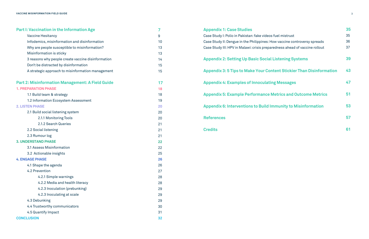| <b>Part I: Vaccination in the Information Age</b>       | 7  |
|---------------------------------------------------------|----|
| <b>Vaccine Hesitancy</b>                                | 9  |
| Infodemics, misinformation and disinformation           | 10 |
| Why are people susceptible to misinformation?           | 13 |
| Misinformation is sticky                                | 13 |
| 3 reasons why people create vaccine disinformation      | 14 |
| Don't be distracted by disinformation                   | 15 |
| A strategic approach to misinformation management       | 15 |
| <b>Part 2: Misinformation Management: A Field Guide</b> | 17 |
| <b>1. PREPARATION PHASE</b>                             | 18 |
| 1.1 Build team & strategy                               | 18 |
| 1.2 Information Ecosystem Assessment                    | 19 |
| <b>2. LISTEN PHASE</b>                                  | 20 |
| 2.1 Build social listening system                       | 20 |
| 2.1.1 Monitoring Tools                                  | 20 |
| 2.1.2 Search Queries                                    | 21 |
| 2.2 Social listening                                    | 21 |
| 2.3 Rumour log                                          | 21 |
| <b>3. UNDERSTAND PHASE</b>                              | 22 |
| 3.1 Assess Misinformation                               | 22 |
| 3.2 Actionable insights                                 | 25 |
| <b>4. ENGAGE PHASE</b>                                  | 26 |
| 4.1 Shape the agenda                                    | 26 |
| 4.2 Prevention                                          | 27 |
| 4.2.1 Simple warnings                                   | 28 |
| 4.2.2 Media and health literacy                         | 28 |
| 4.2.3 Inoculation (prebunking)                          | 29 |
| 4.2.3 Inoculating at scale                              | 29 |
| 4.3 Debunking                                           | 29 |
| 4.4 Trustworthy communicators                           | 30 |
| 4.5 Quantify Impact                                     | 31 |
| <b>CONCLUSION</b>                                       | 32 |

| <b>Appendix 1: Case Studies</b>                                             | 35 |
|-----------------------------------------------------------------------------|----|
| Case Study I: Polio in Pakistan: fake videos fuel mistrust                  | 35 |
| Case Study II: Dengue in the Philippines: How vaccine controversy spreads   | 36 |
| Case Study III: HPV in Malawi: crisis preparedness ahead of vaccine rollout | 37 |
| <b>Appendix 2: Setting Up Basic Social Listening Systems</b>                | 39 |
| <b>Appendix 3: 5 Tips to Make Your Content Stickier Than Disinformation</b> | 43 |
| <b>Appendix 4: Examples of Innoculating Messages</b>                        | 47 |
| <b>Appendix 5: Example Performance Metrics and Outcome Metrics</b>          | 51 |
| <b>Appendix 6: Interventions to Build Immunity to Misinformation</b>        | 53 |
| <b>References</b>                                                           | 57 |
| <b>Credits</b>                                                              | 61 |
|                                                                             |    |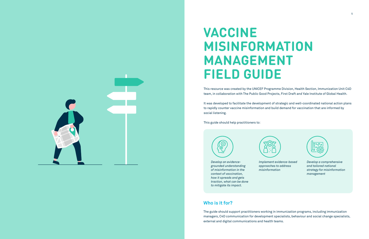

# **VACCINE MISINFORMATION MANAGEMENT FIELD GUIDE**

This resource was created by the UNICEF Programme Division, Health Section, Immunization Unit C4D team, in collaboration with The Public Good Projects, First Draft and Yale Institute of Global Health.

It was developed to facilitate the development of strategic and well-coordinated national action plans to rapidly counter vaccine misinformation and build demand for vaccination that are informed by social listening.

This guide should help practitioners to:



*Develop an evidencegrounded understanding of misinformation in the context of vaccination, how it spreads and gets traction, what can be done to mitigate its impact.* 



*Implement evidence-based approaches to address* 

*misinformation*



*Develop a comprehensive and tailored national strategy for misinformation management*

The guide should support practitioners working in immunization programs, including immunization managers, C4D communication for development specialists, behaviour and social change specialists, external and digital communications and health teams.

## **Who is it for?**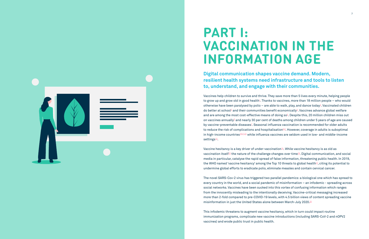**Digital communication shapes vaccine demand. Modern, to, understand, and engage with their communities.**

# **resilient health systems need infrastructure and tools to listen**

Vaccines help children to survive and thrive. They save more than 5 lives every minute, helping people to grow up and grow old in good health $^{\rm 1}$ . Thanks to vaccines, more than 18 million people – who would otherwise have been paralysed by polio – are able to walk, play, and dance today $^2$ . Vaccinated children do better at school $^3$  $^3$  and their communities benefit economically $^4$ . Vaccines advance global welfare and are among the most cost-effective means of doing so $\bar{5}$ . Despite this, 20 million children miss out on vaccines annually $^{\rm \mathfrak{g}}$  and nearly 30 per cent of deaths among children under 5 years of age are caused by vaccine-preventable diseases $^{7}$ . Seasonal influenza vaccination is recommended for older adults to reduce the risk of complications and hospitalisation<sup>g,g</sup>. However, coverage in adults is suboptimal in high-income countries<sup>[10](https://www.ecdc.europa.eu/en/news-events/influenza-vaccination-coverage-rates-insufficient-across-eu-member-states)[,11](https://www.cdc.gov/flu/fluvaxview/coverage-1819estimates.htm),12</sup> while influenza vaccines are seldom used in low- and middle-income settings $13$ .



## **PART I: VACCINATION IN THE INFORMATION AGE**

Vaccine hesitancy is a key driver of under-vaccination<sup>14</sup>. While vaccine hesitancy is as old as vaccination itself<sup>15</sup> the nature of the challenge changes over time<sup>16</sup>. Digital communication, and social media in particular, catalyse the rapid spread of false information, threatening public health. In 2019, the WHO named 'vaccine hesitancy' among the Top 10 threats to global health<sup>17</sup>, citing its potential to undermine global efforts to eradicate polio, eliminate measles and contain cervical cancer.

The novel SARS-Cov-2 virus has triggered two parallel pandemics: a biological one which has spread to every country in the world, and a social pandemic of misinformation – an infodemic - spreading across social networks. Vaccines have been sucked into this vortex of confusing information which ranges from the innocently misleading to the intentionally deceiving. Vaccine-critical messaging increased more than 2-fold compared to pre-COVID-19 levels, with 4.5 billion views of content spreading vaccine misinformation in just the United States alone between March-July 2020[.18](https://www.gih.org/views-from-the-field/lies-bots-and-coronavirus-misinformations-deadly-impact-on-health/)

This infodemic threatens to augment vaccine hesitancy, which in turn could impact routine immunization programs, complicate new vaccine introductions (including SARS-CoV-2 and nOPV2 vaccines) and erode public trust in public health.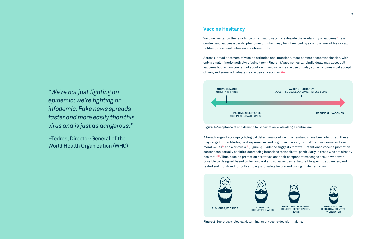*"We're not just fighting an epidemic; we're fighting an infodemic. Fake news spreads faster and more easily than this virus and is just as dangerous."* 

–Tedros, Director-General of the World Health Organization (WHO) Vaccine hesitancy, the reluctance or refusal to vaccinate despite the availability of vaccines<sup>[19](#page-28-0)</sup>, is a context and vaccine-specific phenomenon, which may be influenced by a complex mix of historical, political, social and behavioural determinants.

Across a broad spectrum of vaccine attitudes and intentions, most parents accept vaccination, with only a small minority actively refusing them (Figure 1). Vaccine hesitant individuals may accept all vaccines but remain concerned about vaccines, some may refuse or delay some vaccines - but accept others, and some individuals may refuse all vaccines.<sup>20,[21](#page-28-0)</sup>

A broad range of socio-psychological determinants of vaccine hesitancy have been identified. These may range from attitudes, past experiences and cognitive biases<sup>[22](#page-28-0)</sup>, to trust<sup>23</sup>, social norms and even moral values<sup>24</sup> and worldview<sup>[25](#page-28-0)</sup> (Figure 2). Evidence suggests that well-intentioned vaccine promotion content can actually backfire, decreasing intentions to vaccinate, particularly in those who are already hesitan[t26,27.](#page-28-0) Thus, vaccine promotion narratives and their component messages should wherever possible be designed based on behavioural and social evidence, tailored to specific audiences, and tested and monitored for both efficacy and safety before and during implementation.

**Figure 2.** Socio-psychological determinants of vaccine decision making.



#### **Vaccine Hesitancy**



**Figure 1.** Acceptance of and demand for vaccination exists along a continuum.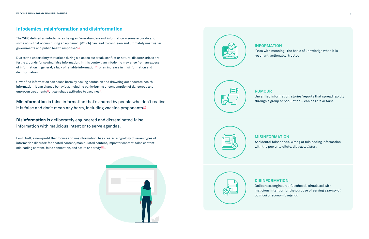The WHO defined an infodemic as being an "overabundance of information – some accurate and some not – that occurs during an epidemic. [Which] can lead to confusion and ultimately mistrust in governments and public health response.["28](https://www.who.int/teams/risk-communication/infodemic-management)

Unverified information can cause harm by sowing confusion and drowning out accurate health information; it can change behaviour, including panic-buying or consumption of dangerous and unproven treatments $30$ ; it can shape attitudes to vaccines $31$ .

First Draft, a non-profit that focuses on misinformation, has created a typology of seven types of information disorder: fabricated content, manipulated content, imposter content, false content, misleading content, false connection, and satire or parody<sup>33,34</sup>.





Due to the uncertainty that arises during a disease outbreak, conflict or natural disaster, crises are fertile grounds for sowing false information. In this context, an infodemic may arise from an excess of information in general, a lack of reliable information $29$ , or an increase in misinformation and disinformation.

**Misinformation** is false information that's shared by people who don't realise it is false and don't mean any harm, including vaccine proponents $32$ .

#### **Infodemics, misinformation and disinformation**

**Disinformation** is deliberately engineered and disseminated false information with malicious intent or to serve agendas.

**RUMOUR**





Unverified information: stories/reports that spread rapidly through a group or population – can be *true or false*

**INFORMATION**



'Data with meaning': the basis of knowledge when it is resonant, actionable, trusted

#### **MISINFORMATION**

Accidental falsehoods. Wrong or misleading information with the power to dilute, distract, *distort* 

**DISINFORMATION**  Deliberate, engineered falsehoods circulated with malicious intent or for the purpose of serving a *personal, political or economic agenda*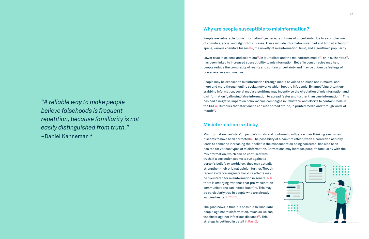Lower trust in science and scientists<sup>38</sup>, in journalists and the mainstream media<sup>39</sup>, or in authorities<sup>40</sup>, has been linked to increased susceptibility to misinformation. Belief in conspiracies may help people reduce the complexity of reality and contain uncertainty and may be driven by feelings of powerlessness and mistrust.

People may be exposed to misinformation through media or voiced opinions and rumours, and more and more through online social networks which fuel the infodemic. By amplifying attentiongrabbing information, social media algorithms may incentivise the circulation of misinformation and disinformation<sup>41</sup>, allowing false information to spread faster and further than true information<sup>42</sup>. This has had a negative impact on polio vaccine campaigns in Pakistan<sup>43</sup> and efforts to contain Ebola in the DRC<sup>44</sup>. Rumours that start online can also spread offline, in printed media and through word-ofmouth $45$ .

Misinformation can 'stick' in people's minds and continue to influence their thinking even when it seems to have been corrected $46$ . The possibility of a backfire effect, when a correction actually leads to someone increasing their belief in the misconception being corrected, has also been posited for various types of misinformation. Corrections may increase people's familiarity with the misinformation, which can be confused with truth. If a correction seems to run against a person's beliefs or worldview, they may actually strengthen their original opinion further. Though recent evidence suggests backfire effects may be overstated for misinformation in general,  $47,48$  $47,48$ there is emerging evidence that pro-vaccination communications can indeed backfire. This may be particularly true in people who are already vaccine hesitant<sup>[49,50,51,52](#page-28-0)</sup>.

*"A reliable way to make people believe falsehoods is frequent repetition, because familiarity is not easily distinguished from truth."*   $-Daniel$  Kahneman $54$ 

> The good news is that it is possible to 'inoculate' people against misinformation, much as we can vaccinate against infectious diseases<sup>53</sup>. This strategy is outlined in detail in **[Part 2](#page-8-0)**.



### **Why are people susceptible to misinformation?**

People are vulnerable to misinformation<sup>35</sup>, especially in times of uncertainty, due to a complex mix of cognitive, social and algorithmic biases. These include information overload and limited attention spans, various cognitive biases<sup>[36](https://firstdraftnews.org/latest/the-psychology-of-misinformation-why-were-vulnerable/)[,37](#page-28-0)</sup>, the novelty of misinformation, trust, and algorithmic popularity.

#### **Misinformation is sticky**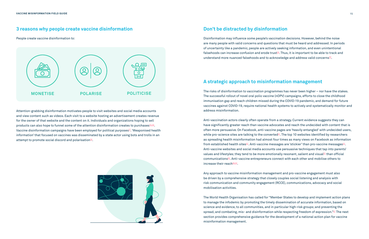Attention-grabbing disinformation motivates people to visit websites and social media accounts and view content such as videos. Each visit to a website hosting an advertisement creates revenue for the owner of that website and the content on it. Individuals and organizations hoping to sell products can also hope to funnel some of the attention disinformation creates to purchases  $55.56$  $55.56$ . Vaccine disinformation campaigns have been employed for political purposes $57.$  'Weaponised health information' that focused on vaccines was disseminated by a state actor using bots and trolls in an attempt to promote social discord and polarisation $58$ .



People create vaccine disinformation to:

Disinformation may influence some people's vaccination decisions. However, behind the noise are many people with valid concerns and questions that must be heard and addressed. In periods of uncertainty like a pandemic, people are actively seeking information, and even unintentional falsehoods can increase confusion and erode trust $59$ . Thus, it is important to be able to track and understand more nuanced falsehoods and to acknowledge and address valid concerns $\frac{60}{50}$ .

#### **3 reasons why people create vaccine disinformation**

Anti-vaccination actors clearly often operate from a strategy. Current evidence suggests they can have significantly greater reach than vaccine advocates and reach the undecided with content that is often more persuasive. On Facebook, anti-vaccine pages are 'heavily entangled' with undecided users, while pro-science sites are talking to the converted $61$ . The top 10 websites identified by researchers as spreading health misinformation had almost four times as many views on Facebook as information from established health sites $62$ . Anti-vaccine messages are 'stickier' than pro-vaccine messages $63$ . Anti-vaccine websites and social media accounts use persuasive techniques that tap into parents' values and lifestyles; they tend to be more emotionally resonant, salient and visual<sup>64</sup> than official communications[65.](#page-29-0) Anti-vaccine entrepreneurs connect with each other and mobilise others to increase their reach $66,50$ .

#### **Don't be distracted by disinformation**

The risks of disinformation to vaccination programmes has never been higher – nor have the stakes. The successful rollout of novel oral polio vaccine (nOPV) campaigns, efforts to close the childhood immunisation gap and reach children missed during the COVID-19 pandemic, and demand for future vaccines against COVID-19, require national health systems to actively and systematically monitor and address misinformation.

Any approach to vaccine misinformation management and pro-vaccine engagement must also be driven by a comprehensive strategy that closely couples social listening and analysis with risk communication and community engagement (RCCE), communications, advocacy and social mobilisation activities.

The World Health Organisation has called for "Member States to develop and implement action plans to manage the infodemic by promoting the timely dissemination of accurate information, based on science and evidence, to all communities, and in particular high-risk groups; and preventing the spread, and combating, mis- and disinformation while respecting freedom of expression."<sup>67</sup> The next section provides comprehensive guidance for the development of a national action plan for vaccine misinformation management.

### **A strategic approach to misinformation management**

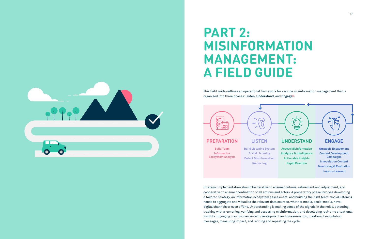<span id="page-8-0"></span>

## **PART 2: MISINFORMATION MANAGEMENT: A FIELD GUIDE**

This field guide outlines an operational framework for vaccine misinformation management that is organised into three phases: **Listen, Understand**, and **Engage**[68](#page-29-0) .

Strategic implementation should be iterative to ensure continual refinement and adjustment, and cooperative to ensure coordination of all actions and actors. A preparatory phase involves developing a tailored strategy, an information ecosystem assessment, and building the right team. Social listening needs to aggregate and visualise the relevant data sources, whether media, social media, novel digital channels or even offline. Understanding is making sense of the signals in the noise, detecting, tracking with a rumor log, verifying and assessing misinformation, and developing real-time situational insights. Engaging may involve content development and dissemination, creation of inoculation messages, measuring impact, and refining and repeating the cycle.

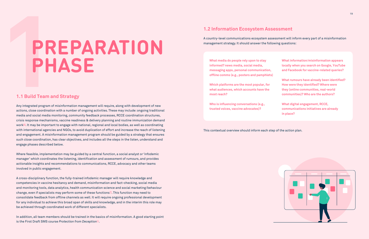Any integrated program of misinformation management will require, along with development of new actions, close coordination with a number of ongoing activities. These may include: ongoing traditional media and social media monitoring, community feedback processes, RCCE coordination structures, crisis response mechanisms, vaccine readiness & delivery planning and routine immunization demand work<sup>[69](https://breakthroughactionandresearch.org/wp-content/uploads/2020/05/COVID-19-Rumor-Tracking-Technical-Brief_v1.1.pdf)</sup>. It may be important to engage with national, regional and local bodies, as well as coordinating with international agencies and NGOs, to avoid duplication of effort and increase the reach of listening and engagement. A misinformation management program should be guided by a strategy that ensures such close coordination, has clear objectives, and includes all the steps in the listen, understand and engage phases described below.

In addition, all team members should be trained in the basics of misinformation. A good starting point is the First Draft SMS course *Protection from Deception*<sup>21</sup>.

Where feasible, implementation may be guided by a central function, a social analyst or 'infodemic manager' which coordinates the listening, identification and assessment of rumours, and provides actionable insights and recommendations to communications, RCCE, advocacy and other teams involved in public engagement.

A cross-disciplinary function, the fully-trained infodemic manager will require knowledge and competencies in vaccine hesitancy and demand, misinformation and fact-checking, social media and monitoring tools, data analytics, health communication science and social marketing/behaviour change, even if specialists may perform some of these functions<sup> $20$ </sup>. This function may need to consolidate feedback from offline channels as well. It will require ongoing professional development for any individual to achieve this broad span of skills and knowledge, and in the interim this role may be achieved through coordinated work of different specialists.

#### **1.1 Build Team and Strategy**

# **PREPARATION PHASE**

A country-level communications ecosystem assessment will inform every part of a misinformation management strategy. It should answer the following questions:

This contextual overview should inform each step of the action plan.

### **1.2 Information Ecosystem Assessment**

**What media do people rely upon to stay informed? news media, social media, messaging apps, personal communication, offline comms (e.g., posters and pamphlets)**

**Which platforms are the most popular, for what audiences, which accounts have the most reach?**

**Who is influencing conversations (e.g., trusted voices, vaccine advocates)?**

| <b>What information/misinformation appears</b><br>locally when you search on Google, YouTube<br>and Facebook for vaccine-related queries? |  |  |
|-------------------------------------------------------------------------------------------------------------------------------------------|--|--|
|                                                                                                                                           |  |  |
| What rumours have already been identified?                                                                                                |  |  |
| How were they identified? Where were                                                                                                      |  |  |
| they (online communities, real-world                                                                                                      |  |  |
| communities)? Who are the authors?                                                                                                        |  |  |

**What digital engagement, RCCE, communications initiatives are already in place?**

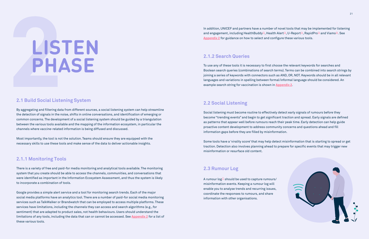By aggregating and filtering data from different sources, a social listening system can help streamline the detection of signals in the noise, shifts in online conversations, and identification of emerging or common concerns. The development of a social listening system should be guided by a triangulation between the various tools available and the mapping of the information ecosystem, in particular the channels where vaccine-related information is being diffused and discussed.

Most importantly, the tool is not the solution. Teams should ensure they are equipped with the necessary skills to use these tools and make sense of the data to deliver actionable insights.

# **LISTEN PHASE**

#### **2.1 Build Social Listening System**

#### **2.1.1 Monitoring Tools**

There is a variety of free and paid-for media monitoring and analytical tools available. The monitoring system that you create should be able to access the channels, communities, and conversations that were identified as important in the Information Ecosystem Assessment, and thus the system is likely to incorporate a combination of tools.

Google provides a simple alert service and a tool for monitoring search trends. Each of the major social media platforms have an analytics tool. There are a number of paid-for social media monitoring services such as TalkWalker or Brandwatch that can be employed to access multiple platforms. These services have limitations, including the channels they can access and search algorithms (e.g., for sentiment) that are adapted to product sales, not health behaviours. Users should understand the limitations of any tools, including the data that can or cannot be accessed. See **[Appendix 2](#page-19-0)** for a list of these various tools.

A rumour  $log<sup>77</sup>$  should be used to capture rumours/ misinformation events. Keeping a rumour log will enable you to analyse trends and recurring issues, coordinate the responses to rumours, and share information with other organisations.



To use any of these tools it is necessary to first choose the relevant keywords for searches and Boolean search queries (combinations of search terms). Terms can be combined into search strings by joining a series of keywords with connectors such as AND, OR, NOT. Keywords should be in all relevant languages and variations in spelling between formal/informal language should be considered. An example search string for vaccination is shown in **[Appendix 2](#page-19-0)**.

In addition, UNICEF and partners have a number of novel tools that may be implemented for listening and engagement, including HealthBuddy<sup>72</sup>, Health Alert<sup>73</sup>, U-Report<sup>74</sup>, RapidPro<sup>75</sup> and Viamo<sup>76</sup>. See **[Appendix 2](#page-19-0)** for guidance on how to select and configure these various tools.

Social listening must become routine to effectively detect early signals of rumours before they become "trending events" and begin to get significant traction and spread. Early signals are defined as patterns that appear well before rumours reach their peak time. Early detection can help guide proactive content development to address community concerns and questions ahead and fill information gaps before they are filled by misinformation.

Some tools have a 'virality score' that may help detect misinformation that is starting to spread or get traction. Detection also involves planning ahead to prepare for specific events that may trigger new misinformation or resurface old content.

### **2.2 Social Listening**

#### **2.1.2 Search Queries**

#### **2.3 Rumour Log**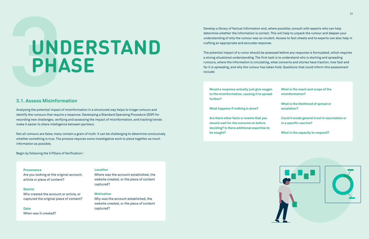Analysing the potential impact of misinformation in a structured way helps to triage rumours and identify the rumours that require a response. Developing a Standard Operating Procedure (SOP) for recording new challenges, verifying and assessing the impact of misinformation, and tracking trends make it easier to share intelligence between partners.

# **UNDERSTAND PHASE**

Not all rumours are false; many contain a grain of truth. It can be challenging to determine conclusively whether something is true. The process requires some investigative work to piece together as much information as possible.

Begin by following the 5 Pillars of Verification<sup>[78](https://firstdraftnews.org/wp-content/uploads/2019/10/Verifying_Online_Information_Digital_AW.pdf?x65316)</sup>

#### **3.1. Assess Misinformation**

#### **Provenance**

Are you looking at the original account, article or piece of content?

#### **Source**

Who created the account or article, or captured the original piece of content?

#### **Date**

When was it created?

#### **Location**

Where was the account established, the website created, or the piece of content captured?

#### **Motivation**

Why was the account established, the website created, or the piece of content captured?

Develop a library of factual information and, where possible, consult with experts who can help determine whether the information is correct. This will help to unpack the rumour and deepen your understanding of why the rumour was so virulent. Access to fact sheets and to experts can also help in crafting an appropriate and accurate response.

The potential impact of a rumor should be assessed before any response is formulated, which requires a strong situational understanding. The first task is to understand who is starting and spreading rumours, where the information is circulating, what concerns and stories have traction, how fast and far it is spreading, and why the rumour has taken hold. Questions that could inform this assessment include:

**Would a response actually just give oxygen to the misinformation, causing it to spread further?**

**What happens if nothing is done?**

**Are there other facts or events that you should wait for the outcome on before deciding? Is there additional expertise to be sought?** 

| n<br>1 | What is the reach and scope of the<br>misinformation?                    |
|--------|--------------------------------------------------------------------------|
|        | What is the likelihood of spread or<br>escalation?                       |
|        | Could it erode general trust in vaccination or<br>in a specific vaccine? |
|        | What is the capacity to respond?                                         |



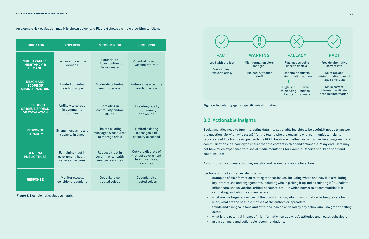**Figure 3.** Example risk evaluation matrix.



| <b>INDICATOR</b>                                                    | <b>LOW RISK</b>                                                | <b>MEDIUM RISK</b>                                           | <b>HIGH RISK</b>                                                            |
|---------------------------------------------------------------------|----------------------------------------------------------------|--------------------------------------------------------------|-----------------------------------------------------------------------------|
| <b>RISK TO VACCINE</b><br><b>HESITANCY &amp;</b><br><b>DEMAND</b>   | Low risk to vaccine<br>demand                                  | Potential to<br>trigger hesitancy<br>to vaccinate            | Potential to lead to<br>vaccine refusals                                    |
| <b>REACH AND</b><br><b>SCOPE OF</b><br><b>MISINFORMATION</b>        | Limited potential<br>reach or scope                            | Moderate potential<br>reach or scope                         | Wide or cross-country<br>reach or scope                                     |
| <b>LIKELIHOOD</b><br><b>OF ISSUE SPREAD</b><br><b>OR ESCALATION</b> | Unlikely to spread<br>in community<br>or online                | Spreading in<br>community and/or<br>online                   | <b>Spreading rapidly</b><br>in community<br>and online                      |
| <b>RESPONSE</b><br><b>CAPACITY</b>                                  | Strong messaging and<br>capacity in place                      | Limited existing<br>messages & resources<br>to manage crisis | Limited existing<br>messages and<br>capacity exceeded                       |
| <b>GENERAL</b><br><b>PUBLIC TRUST</b>                               | Remaining trust in<br>government, health<br>services, vaccines | Reduced trust in<br>government, health<br>services, vaccines | Outward displays of<br>mistrust government,<br>health services,<br>vaccines |
| <b>RESPONSE</b>                                                     | Monitor closely,<br>consider prebunking                        | Debunk, raise<br>trusted voices                              | Debunk, raise<br>trusted voices                                             |

**Figure 4.** Inoculating against specific misinformation

An example risk evaluation matrix is shown below, and **Figure 4** shows a simple algorithm to follow.

Social analytics need to turn interesting data into actionable insights to be useful. It needs to answer the question *"So what, who cares?"* for the teams who are engaging with communities. Insights reports should be first developed with the RCCE taskforce or other teams involved in engagement and communications in a country to ensure that the content is clear and actionable. Many end users may not have much experience with social media monitoring for example. Reports should be short and could include:

A short top-line summary with key insights and recommendations for action.

Sections on the key themes identified with:

 • examples of disinformation relating to these issues, including where and how it is circulating; • key interactions and engagements, including who is picking it up and circulating it (journalists, influencers, known vaccine-critical accounts, etc), in which networks or communities is it

• what are the target audiences of the disinformation, what disinformation techniques are being

- 
- circulating, and who the audiences are;
- used, what are the possible motives of the authors or spreaders;
- data);
- 
- and a summary and actionable recommendations.

• trends and changes in tone and attitudes (can be enriched by any behavioural insights or polling

• what is the potential impact of misinformation on audience's attitudes and health behaviours;

#### **3.2 Actionable Insights**

Lead with the fact

Make it clear, relevant, sticky



**FACT**

(antigen)

Misleading tactics alert!

**WARNING**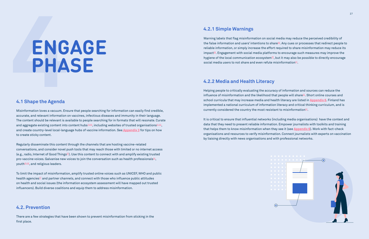Regularly disseminate this content through the channels that are hosting vaccine-related conversations, and consider novel push tools that may reach those with limited or no internet access (e.g., radio, Internet of Good Things<sup>83</sup>). Use this content to connect with and amplify existing trusted pro-vaccine voices. Galvanise new voices to join the conversation such as health professionals<sup>[84](https://www.shotsheard.org/)</sup>, youth<sup>85,86</sup>, and religious leaders.

Misinformation loves a vacuum. Ensure that people searching for information can easily find credible, accurate, and relevant information on vaccines, infectious diseases and immunity in their language. The content should be relevant is available to people searching for in formats that will resonate. Curate and aggregate existing content into content hubs<sup>[79](https://www.who.int/vaccine_safety/initiative/communication/networkvaccine_safety_websites/en/),80</sup>, including websites of trusted organisations<sup>[81](https://www.unicef.org/immunization/parents-frequently-asked-questions-vaccines)[,82](https://www.who.int/vaccines/questions-and-answers/q-a-on-vaccines
)</sup>, and create country-level local-language hubs of vaccine information. See **[Appendix 3](#page-21-0)** for tips on how to create sticky content.

Warning labels that flag misinformation on social media may reduce the perceived credibility of the false information and users' intentions to share<sup>88</sup>. Any cues or processes that redirect people to reliable information, or simply increase the effort required to share misinformation may reduce its impact $89$ . Engagement with social media platforms to encourage such measures may improve the hygiene of the local communication ecosystem $90$ , but it may also be possible to directly encourage social media users to not share and even refute misinformation $91$ .

Helping people to critically evaluating the accuracy of information and sources can reduce the influence of misinformation and the likelihood that people will share $92$ . Short online courses and school curricula that may increase media and health literacy are listed in **[Appendix 6](#page-26-0)**. Finland has implemented a national curriculum of information literacy and critical thinking curriculum, and is currently considered the country the most resistant to misinformation<sup>93</sup>.

To limit the impact of misinformation, amplify trusted online voices such as UNICEF, WHO and public health agencies $\mathbb{S}^7$  and partner channels, and connect with those who influence public attitudes on health and social issues (the information ecosystem assessment will have mapped out trusted influencers). Build diverse coalitions and equip them to address misinformation.

# **ENGAGE PHASE**

#### **4.1 Shape the Agenda**

#### **4.2. Prevention**

There are a few strategies that have been shown to prevent misinformation from sticking in the first place.

#### **4.2.2 Media and Health Literacy**

It is critical to ensure that influential networks (including media organisations) have the context and data that they need to present reliable information. Empower journalists with toolkits and training that helps them to know misinformation when they see it (see **[Appendix 6](#page-26-0)**). Work with fact-check organisations and resources to verify misinformation. Connect journalists with experts on vaccination by liaising directly with news organisations and with professional networks.



#### **4.2.1 Simple Warnings**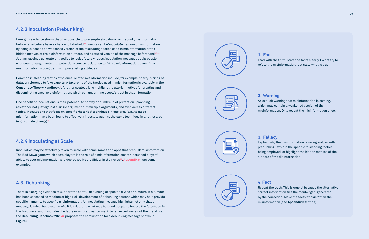#### **4.2.3 Inoculation (Prebunking)**

#### **4.3. Debunking**

#### **4.2.4 Inoculating at Scale**

Emerging evidence shows that it is possible to pre-emptively debunk, or prebunk, misinformation before false beliefs have a chance to take hold<sup>94</sup>. People can be '*inoculated*' against misinformation by being exposed to a weakened version of the misleading tactics used in misinformation or the hidden motives of the disinformation authors, and a refuted version of the message beforehand<sup>[95,96](#page-29-0)</sup>. Just as vaccines generate antibodies to resist future viruses, inoculation messages equip people with counter-arguments that potentially convey resistance to future misinformation, even if the misinformation is congruent with pre-existing attitudes.

One benefit of inoculations is their potential to convey an "umbrella of protection", providing resistance not just against a single argument but multiple arguments, and even across different topics. Inoculations that focus on specific rhetorical techniques in one area (e.g., tobacco misinformation) have been found to effectively inoculate against the same technique in another area (e.g., climate change) $98$ .

Common misleading tactics of science-related misinformation include, for example, cherry-picking of data, or reference to fake experts. A taxonomy of the tactics used in misinformation is available in the **Conspiracy Theory Handbook**[97](#page-29-0). Another strategy is to highlight the ulterior motives for creating and disseminating vaccine disinformation, which can undermine people's trust in that information.

Inoculation may be effectively taken to scale with some games and apps that prebunk misinformation. The Bad News game which casts players in the role of a misinformation creator increased players' ability to spot misinformation and decreased its credibility in their eyes<sup>99</sup>. [Appendix 6](#page-26-0) lists some examples.

There is emerging evidence to support the careful debunking of specific myths or rumours. If a rumour has been assessed as medium or high risk, development of debunking content which may help provide specific immunity to specific misinformation. An inoculating message highlights not only that a message is false, but explains *why* it is false, and what may have led people to believe the falsehood in the first place, and it includes the facts in simple, clear terms. After an expert review of the literature, the **Debunking Handbook 2020**[100](#page-29-0) proposes the combination for a debunking message shown in **Figure 5**.



**1. Fact** 

Lead with the truth, state the facts clearly. Do not try to refute the misinformation, just state what is true.

**2. Warning**

An explicit warning that misinformation is coming, which may contain a weakened version of the

misinformation. Only repeat the misinformation once.

**4. Fact** Repeat the truth. This is crucial because the alternative correct information fills the mental 'gap' generated by the correction. Make the facts 'stickier' than the misinformation (see **Appendix 3** for tips).

**3. Fallacy**



Explain why the misinformation is wrong and, as with prebunking, explain the specific misleading tactics being employed, or highlight the hidden motives of the authors of the disinformation.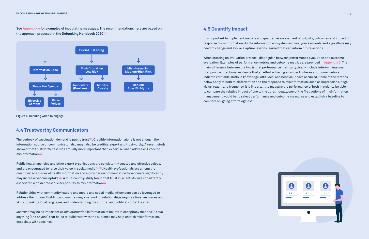Public health agencies and other expert organisations are consistently trusted and effective voices, and are encouraged to raise their voice in social media<sup>103,104</sup>. Health professionals are among the most trusted sources of health information and a provider recommendation to vaccinate significantly may increase vaccine uptake<sup>[105](#page-29-0)</sup>. A multicountry study found that trust in scientists was consistently associated with decreased susceptibility to misinformation $^{\underline{106}}$ .

Mistrust may be as important as *misinformation* in formation of beliefs in conspiracy theories $^{\text{107}}$ , thus anything (and anyone) that helps to build trust with the audience may help unstick misinformation, especially with vaccines.



Relationships with community leaders and media and social media influencers can be leveraged to address the rumour. Building and maintaining a network of relationships requires time, resources and skills. Speaking local languages and understanding the cultural and political context is vital.

It is important to implement metrics and qualitative assessment of outputs, outcomes and impact of response to disinformation. As the information ecosystem evolves, your keywords and algorithms may need to change and evolve. Capture lessons learned that can inform future actions.

When creating an evaluation protocol, distinguish between performance evaluation and outcome evaluation. Examples of performance metrics and outcome metrics are provided in **[Appendix 5](#page-25-0)**. The main difference between the two is that performance metrics typically include interim measures that provide directional evidence that an effort is having an impact, whereas outcome metrics indicate verifiable shifts in knowledge, attitudes, and behaviour have occurred. Some of the metrics below apply to both misinformation and the response to misinformation, such as impressions, page views, reach, and frequency. It is important to measure the performance of both in order to be able to compare the relative impact of one to the other. Ideally, one of the first actions of misinformation management would be to select performance and outcome measures and establish a baseline to compare on-going efforts against.

#### **4.4 Trustworthy Communicators**

The bedrock of vaccination demand is public trust<sup>101</sup>. Credible information alone is not enough, the information source or communicator also must also be credible, expert and trustworthy. A recent study showed that trustworthiness was actually more important than expertise when addressing vaccine misinformation<sup>102</sup>.

**Figure 5**. Deciding when to engage



See **[Appendix 4](#page-23-0) 4.5 Quantify Impact** for examples of inoculating messages. The recommendations here are based on the approach proposed in the **Debunking Handbook 2020**[100.](#page-29-0)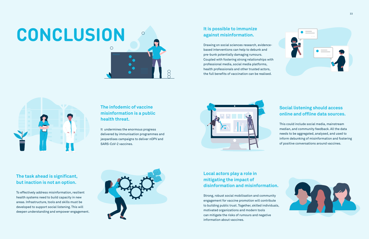# **CONCLUSION**

## **The infodemic of vaccine misinformation is a public health threat.**

 $\beta$ 

It undermines the enormous progress delivered by immunisation programmes and jeopardises campaigns to deliver nOPV and SARS-CoV-2 vaccines.

### **The task ahead is significant, but inaction is not an option.**

To effectively address misinformation, resilient health systems need to build capacity in new areas. Infrastructure, tools and skills must be developed to support social listening. This will deepen understanding and empower engagement.



#### **It is possible to immunize against misinformation.**

Drawing on social sciences research, evidencebased interventions can help to debunk and pre-bunk potentially damaging rumours. Coupled with fostering strong relationships with professional media, social media platforms, health professionals and other trusted actors, the full benefits of vaccination can be realised.



### **Social listening should access online and offline data sources.**

This could include social media, mainstream median, and community feedback. All the data needs to be aggregated, analysed, and used to inform debunking of misinformation and fostering of positive conversations around vaccines.



### **Local actors play a role in mitigating the impact of disinformation and misinformation.**

Strong, robust social mobilisation and community engagement for vaccine promotion will contribute to building public trust. Together, skilled individuals, motivated organizations and modern tools can mitigate the risks of rumours and negative information about vaccines.

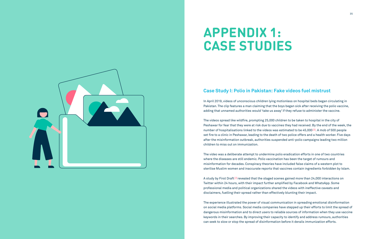In April 2019, videos of unconscious children lying motionless on hospital beds began circulating in Pakistan. The clip features a man claiming that the boys began sick after receiving the polio vaccine, adding that unnamed authorities would 'take us away' if they refuse to administer the vaccine.

The videos spread like wildfire, prompting 25,000 children to be taken to hospital in the city of Peshawar for fear that they were at risk due to vaccines they had received. By the end of the week, the number of hospitalisations linked to the videos was estimated to be 45,00[0108.](https://firstdraftnews.org/latest/how-fake-videos-unravelled-pakistans-war-on-polio/) A mob of 500 people set fire to a clinic in Peshawar, leading to the death of two police offers and a health worker. Five days after the misinformation outbreak, authorities suspended anti-polio campaigns leading two million children to miss out on immunization.

A study by First Draft<sup>[109](https://firstdraftnews.org/long-form-article/first-draft-case-study-understanding-the-impact-of-polio-vaccine-disinformation-in-pakistan/)</sup> revealed that the staged scenes gained more than 24,000 interactions on Twitter within 24 hours, with their impact further amplified by Facebook and WhatsApp. Some professional media and political organizations shared the videos with ineffective caveats and disclaimers, fuelling their spread rather than effectively blunting their impact.

The video was a deliberate attempt to undermine polio eradication efforts in one of two countries where the diseases are still endemic. Polio vaccination has been the target of rumours and misinformation for decades. Conspiracy theories have included false claims of a western plot to sterilise Muslim women and inaccurate reports that vaccines contain ingredients forbidden by Islam.

The experience illustrated the power of visual communication in spreading emotional disinformation on social media platforms. Social media companies have stepped up their efforts to limit the spread of dangerous misinformation and to direct users to reliable sources of information when they use vaccine keywords in their searches. By improving their capacity to identify and address rumours, authorities can seek to slow or stop the spread of disinformation before it derails immunization efforts.



# **APPENDIX 1: CASE STUDIES**

### **Case Study I: Polio in Pakistan: Fake videos fuel mistrust**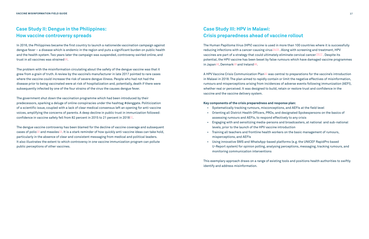In 2016, the Philippines became the first country to launch a nationwide vaccination campaign against dengue fever – a disease which is endemic in the region and puts a significant burden on public health and the health system. Two years later the campaign was suspended, controversy swirled online, and trust in all vaccines was strained $110$ .

The government shut down the vaccination programme which had been introduced by their predecessors, sparking a deluge of online conspiracies under the hashtag #denggate. Politicization of a scientific issue, coupled with a lack of clear medical consensus left an opening for anti-vaccine voices, amplifying the concerns of parents. A deep decline in public trust in immunization followed: confidence in vaccine safety fell from 82 percent in 2015 to 21 percent in 2018 $^{\rm 111}.$ 

The problem with the misinformation circulating about the safety of the dengue vaccine was that it grew from a grain of truth. A review by the vaccine's manufacturer in late 2017 pointed to rare cases where the vaccine could increase the risk of severe dengue illness. People who had not had the disease prior to being vaccinated were at risk of hospitalization and, potentially, death if there were subsequently infected by one of the four strains of the virus the causes dengue fever.

The Human Papilloma Virus (HPV) vaccine is used in more than 100 countries where it is successfully reducing infections with a cancer-causing virus $114,115$ . Along with screening and treatment, HPV vaccines are part of a strategy that could ultimately eliminate cervical cancer<sup>[116](https://www.who.int/news/item/19-08-2020-world-health-assembly-adopts-global-strategy-to-accelerate-cervical-cancer-elimination#:~:text=Projections%2520show%2520that%2520achieving%2520the,could%2520be%2520averted%2520by%25202120)[,117](https://www.nature.com/articles/d41586-020-01036-x)</sup>. Despite its potential, the HPV vaccine has been beset by false rumours which have damaged vaccine programmes in Japan<sup>118</sup>, Denmark<sup>119</sup> and Ireland<sup>120</sup>.

The dengue vaccine controversy has been blamed for the decline of vaccine coverage and subsequent cases of polio $^{112}$  and measles $^{113}$ . It is a stark reminder of how quickly anti-vaccine ideas can take hold, particularly in the absence of clear and consistent messaging from medical and political leaders. It also illustrates the extent to which controversy in one vaccine immunization program can pollute public perceptions of other vaccines.

A HPV Vaccine Crisis Communication Plan[121](https://globalhpv.com/document/crisis-communication-preparedness-and-response-to-support-introduction-of-the-hpv-vaccine-in-malawi/) was central to preparations for the vaccine's introduction in Malawi in 2018. The plan aimed to rapidly contain or limit the negative effectives of misinformation, rumours and misperceptions arising from incidences of adverse events following immunization (AEFI), whether real or perceived. It was designed to build, retain or restore trust and confidence in the vaccine and the vaccine delivery system.

#### **Key components of the crisis preparedness and response plan:**

- Systematically tracking rumours, misconceptions, and AEFIs at the field level
- Orienting all District Health Officers, PROs, and designated Spokespersons on the basics of assessing rumours and AEFIs, to respond effectively to any crisis
- Engaging with and sensitizing media-persons and broadcasters, at national and sub-national levels, prior to the launch of the HPV vaccine introduction
- Training all teachers and frontline health workers on the basic management of rumours, misperceptions, and AEFIs
- monitoring communication interventions

 • Using innovative SMS and WhatsApp-based platforms (e.g. the UNICEF RapidPro based U-Report system) for opinion polling, analysing perceptions, messaging, tracking rumours, and

This exemplary approach draws on a range of existing tools and positions health authorities to swiftly identify and address misinformation.

## **Case Study II: Dengue in the Philippines: How vaccine controversy spreads**

## **Case Study III: HPV in Malawi: Crisis preparedness ahead of vaccine rollout**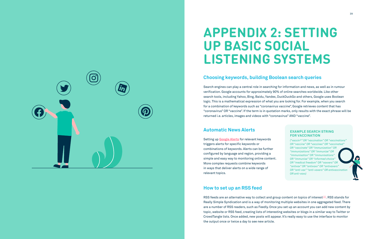<span id="page-19-0"></span>

## **APPENDIX 2: SETTING UP BASIC SOCIAL LISTENING SYSTEMS**

#### **EXAMPLE SEARCH STRING FOR VACCINATION**

*("vaccin\*" OR "vaccination" OR "vaccinations" OR "vaccine" OR "vaccines" OR "vaccinated" OR "vaccinate" OR "immunization" OR "immunizations" OR "immunize" OR "immunisation" OR "immunisations" OR "immunise" OR "informed choice" OR "medical freedom" OR "vaxxers" OR "antivax" OR "antivaxx" OR "antivaxers" OR "anti-vax" "anti-vaxers" OR antivaccination OR anti-vaxx)*

### **Choosing keywords, building Boolean search queries**

#### **Automatic News Alerts**

## **How to set up an RSS feed**

Search engines can play a central role in searching for information and news, as well as in rumour verification. Google accounts for approximately 90% of online searches worldwide. Like other search tools, including Yahoo, Bing, Baidu, Yandex, DuckDuckGo and others, Google uses Boolean logic. This is a mathematical expression of what you are looking for. For example, when you search for a combination of keywords such as "coronavirus vaccine", Google retrieves content that has "coronavirus" OR "vaccine". If the term is in quotation marks, only results with the exact phrase will be returned i.e. articles, images and videos with "coronavirus" AND "vaccine".

RSS feeds are an alternative way to collect and group content on topics of interest<sup>[122](#page-30-0)</sup>. RSS stands for Really Simple Syndication and is a way of monitoring multiple websites in one aggregated feed. There are a number of RSS readers, such as Feedly. Once you set up an account you can add new content by topic, website or RSS feed, creating lists of interesting websites or blogs in a similar way to Twitter or CrowdTangle lists. Once added, new posts will appear. It's really easy to use the interface to monitor the output once or twice a day to see new article.

Setting up **[Google Alerts](https://www.google.com/alerts)** for relevant keywords triggers alerts for specific keywords or combinations of keywords. Alerts can be further configured by language and region, providing a simple and easy way to monitoring online content. More complex requests combine keywords in ways that deliver alerts on a wide range of relevant topics.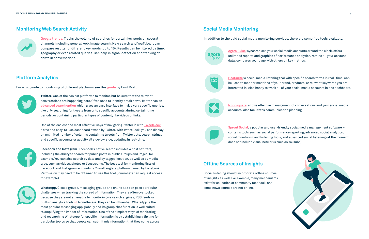**[Google trends.](https://trends.google.com/trends/)** Tracks the volume of searches for certain keywords on several channels including general web, Image search, New search and YouTube. It can compare results for different key words (up to 15). Results can be filtered by time, geography or even related queries. Can help in signal detection and tracking of shifts in conversations.

For a full guide to monitoring of different platforms see this **[guide](https://firstdraftnews.org/wp-content/uploads/2019/10/Newsgathering_and_Monitoring_Digital_AW3.pdf?x65316)** by First Draft.



#### In addition to the paid social media monitoring services, there are some free tools available.

**Twitter.** One of the easiest platforms to monitor, but be sure that the relevant conversations are happening here. Often used to identify break news. Twitter has an **[advanced search option](https://start.me/p/vjv80b/first-draft-basic-toolkit)** which gives an easy interface to mak e very specific queries, like only searching for tweets from or to specific accounts, during certain time periods, or containing particular types of content, like videos or links.

One of the easiest and most effective ways of navigating Twitter is with **[TweetDeck](http://www.wfsj.org/course/)**, a free and easy-to-use dashboard owned by Twitter. With TweetDeck, you can display an unlimited number of columns containing tweets from Twitter lists, search strings and specific accounts or activity all side-by- side, updating in real-time.



**Facebook and Instagram.** Facebook's native search includes a host of filters, including the ability to search for public posts in public Groups and Pages, for example. You can also search by date and by tagged location, as well as by media type, such as videos, photos or livestreams. The best tool for monitoring lists of Facebook and Instagram accounts is CrowdTangle, a platform owned by Facebook. Permission may need to be obtained to use this tool (journalists can request access for example).



**WhatsApp.** Closed groups, messaging groups and online ads can pose particular challenges when tracking the spread of information. They are often overlooked because they are not amenable to monitoring via search engines, RSS feeds or built-in analytics tools<sup>[123](https://firstdraftnews.org/wp-content/uploads/2019/11/Messaging_Apps_Digital_AW-1.pdf?x65316)</sup>. Nonetheless, they can be influential. WhatsApp is the most popular messaging app globally and its group chat function is well suited to amplifying the impact of information. One of the simplest ways of monitoring and researching WhatsApp for specific information is by establishing a tip line for particular topics so that people can submit misinformation that they come across.

**[Agora Pulse](https://www.agorapulse.com/)**: synchronises your social media accounts around the clock, offers unlimited reports and graphics of performance analytics, retains all your account data, compares your page with others on key metrics.

CO

**[Hootsuite](https://hootsuite.com/)**: a social media listening tool with specific search terms in real- time. Can be used to monitor mentions of your brand, products, or relevant keywords you are interested in. Also handy to track all of your social media accounts in one dashboard.



**[Iconosquare](https://pro.iconosquare.com/)**: allows effective management of conversations and your social media accounts. Also facilitates communication planning.

**[Sprout Social](https://sproutsocial.com/)**: a popular and user-friendly social media management software – contains tools such as social performance reporting, advanced social analytics, social monitoring and listening tools, and advanced social listening (at the moment does not include visual networks such as YouTube).





Social listening should incorporate offline sources of insights as well. For example, many mechanisms exist for collection of community feedback, and some news sources are not online.

#### **Monitoring Web Search Activity**



#### **Platform Analytics**

#### **Social Media Monitoring**

agora

#### **Offline Sources of Insights**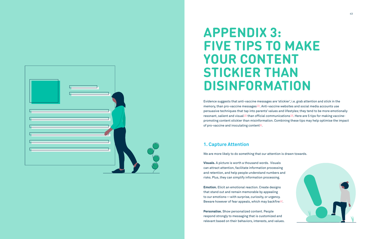Evidence suggests that anti-vaccine messages are 'stickier', i.e. grab attention and stick in the memory, than pro-vaccine messages<sup>124</sup>. Anti-vaccine websites and social media accounts use persuasive techniques that tap into parents' values and lifestyles; they tend to be more emotionally resonant, salient and visual<sup>125</sup> than official communications<sup>126</sup>. Here are 5 tips for making vaccinepromoting content stickier than misinformation. Combining these tips may help optimise the impact of pro-vaccine and inoculating content $83$ .

**Emotion.** Elicit an emotional reaction. Create designs that stand out and remain memorable by appealing to our emotions—with surprise, curiosity, or urgency. Beware however of fear appeals, which may backfire<sup>[127](#page-30-0)</sup>.

<span id="page-21-0"></span>

# **APPENDIX 3: FIVE TIPS TO MAKE YOUR CONTENT STICKIER THAN DISINFORMATION**

We are more likely to do something that our attention is drawn towards.

**Visuals.** A picture is worth a thousand words. Visuals can attract attention, facilitate information processing and retention, and help people understand numbers and risks. Plus, they can simplify information processing.

**Personalise.** Show personalized content. People respond strongly to messaging that is customized and relevant based on their behaviors, interests, and values.



## **1. Capture Attention**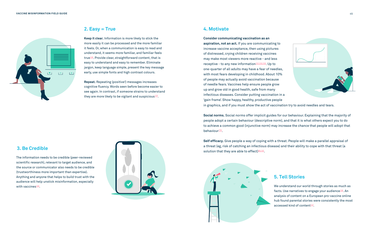

**Repeat.** Repeating (positive!) messages increases cognitive fluency. Words seen before become easier to see again. In contrast, if someone strains to understand they are more likely to be vigilant and suspicious $129$ .

**Keep it clear.** Information is more likely to stick the more easily it can be processed and the more familiar it feels. Or, when a communication is easy to read and understand, it seems more familiar, and familiar feels true $128$ . Provide clear, straightforward content, that is easy to understand and easy to remember. Eliminate jargon, keep language simple, present the key message early, use simple fonts and high contrast colours.

The information needs to be credible (peer-reviewed scientific research), relevant to target audience, and the source or communicator also needs to be credible (trustworthiness more important than expertise). Anything and anyone that helps to build trust with the audience will help unstick misinformation, especially with vaccines<sup>[130](#page-30-0)</sup>. We understand our world through stories as much as  $\blacksquare$ 



**Social norms.** Social norms offer implicit guides for our behaviour. Explaining that the majority of people adopt a certain behaviour (descriptive norm), and that it is what others expect you to do to achieve a common good (injunctive norm) may increase the chance that people will adopt that behaviour $134$ .

**Self efficacy.** Give people a way of coping with a threat. People will make a parallel appraisal of a threat (eg, risk of catching an infectious disease) and their ability to cope with that threat (a solution that they are able to effect[\)89,](#page-29-0)135







**Consider communicating vaccination as an aspiration, not an act.** If you are communicating to increase vaccine acceptance, then using pictures of distressed, crying children receiving vaccines may make most viewers more reactive - and less receptive - to any new information $131,132,133$ . Up to one-quarter of all adults may have a fear of needles, with most fears developing in childhood. About 10% of people may actually avoid vaccination because of needle fears. Vaccines help ensure people grow up and grow old in good health, safe from many infectious diseases. Consider putting vaccination in a 'gain frame'. Show happy, healthy, productive people in graphics, and if you must show the act of vaccination try to avoid needles and tears.

#### **2. Easy = True 4. Motivate**

#### **5. Tell Stories**

facts. Use narratives to engage your audience<sup>[136](https://www.youtube.com/watch?v=tS2zPtsO0Rc&feature=youtu.be)</sup>. An analysis of content on a European pro-vaccine online hub found parental stories were consistently the most accessed kind of content $137$ .

#### **3. Be Credible**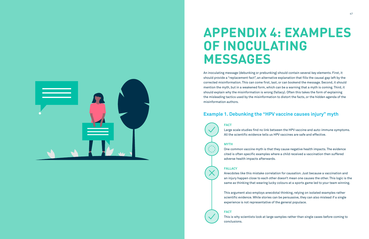An inoculating message (debunking or prebunking) should contain several key elements. First, it should provide a "replacement fact", an alternative explanation that fills the causal gap left by the corrected misinformation. This can come first, last, or can bookend the message. Second, it should mention the myth, but in a weakened form, which can be a warning that a myth is coming. Third, it should explain why the misinformation is wrong (fallacy). Often this takes the form of explaining the misleading tactics used by the misinformation to distort the facts, or the hidden agenda of the misinformation authors.

<span id="page-23-0"></span>

# **APPENDIX 4: EXAMPLES OF INOCULATING MESSAGES**

**FACT**

Large scale studies find no link between the HPV vaccine and auto-immune symptoms. All the scientific evidence tells us HPV vaccines are safe and effective.

#### **MYTH**

One common vaccine myth is that they cause negative health impacts. The evidence cited is often specific examples where a child received a vaccination then suffered adverse health impacts afterwards.

#### **FALLACY**

Anecdotes like this mistake correlation for causation. Just because a vaccination and an injury happen close to each other doesn't mean one causes the other. This logic is the same as thinking that wearing lucky colours at a sports game led to your team winning.

This argument also employs anecdotal thinking, relying on isolated examples rather scientific evidence. While stories can be persuasive, they can also mislead if a single experience is not representative of the general populace.

#### **FACT**

This is why scientists look at large samples rather than single cases before coming to

conclusions.

### **Example 1. Debunking the "HPV vaccine causes injury" myth**

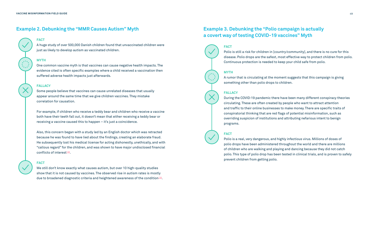#### **FACT**

A huge study of over 500,000 Danish children found that unvaccinated children were just as likely to develop autism as vaccinated children.

#### **MYTH**

One common vaccine myth is that vaccines can cause negative health impacts. The evidence cited is often specific examples where a child received a vaccination then suffered adverse health impacts just afterwards.

#### **FALLACY**

Also, this concern began with a study led by an English doctor which was retracted because he was found to have lied about the findings, creating an elaborate fraud. He subsequently lost his medical license for acting dishonestly, unethically, and with "callous regard" for the children, and was shown to have major undisclosed financial conflicts of interest $138$ .

Some people believe that vaccines can cause unrelated diseases that usually appear around the same time that we give children vaccines. They mistake correlation for causation.

We still don't know exactly what causes autism, but over 10 high-quality studies show that it is not caused by vaccines. The observed rise in autism rates is mostly due to broadened diagnostic criteria and heightened awareness of the condition<sup>139</sup>.

For example, if children who receive a teddy bear and children who receive a vaccine both have their teeth fall out, it doesn't mean that either receiving a teddy bear or receiving a vaccine caused this to happen – it's just a coincidence.

#### **FACT**

#### **FACT**

Polio is still a risk for children in [country/community], and there is no cure for this disease. Polio drops are the safest, most effective way to protect children from polio. Continuous protection is needed to keep your child safe from polio.

#### **MYTH**

A rumor that is circulating at the moment suggests that this campaign is giving something other than polio drops to children.

#### **FALLACY**

During the COVID-19 pandemic there have been many different conspiracy theories circulating. These are often created by people who want to attract attention and traffic to their online businesses to make money. There are specific traits of conspiratorial thinking that are red flags of potential misinformation, such as overriding suspicion of institutions and attributing nefarious intent to benign programs.

#### **FACT**

Polio is a real, very dangerous, and highly infectious virus. Millions of doses of polio drops have been administered throughout the world and there are millions of children who are walking and playing and dancing because they did not catch polio. This type of polio drop has been tested in clinical trials, and is proven to safely prevent children from getting polio.

### **Example 2. Debunking the "MMR Causes Autism" Myth Example 3. Debunking the "Polio campaign is actually**

## **a covert way of testing COVID-19 vaccines" Myth**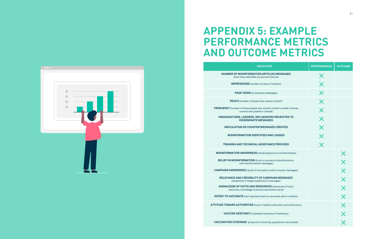## **APPENDIX 5: EXAMPLE PERFORMANCE METRICS AND OUTCOME METRICS**

#### **INDICATOR PERFORMANCE OUTCOME**

**NUMBER OF MISINFORMATION ARTICL** *(how many identified, by source/changle)* 

**IMPRESSIONS** (number of views of

**PAGE VIEWS** (of websites/webpa

**REACH** (number of people who viewed

**FREQUENCY** (number of times people saw content, *content was posted or shared)*

**ORGANIZATIONS, LEADERS, INFLUENCER DISSEMINATE MESSAGES**

**INOCULATION OR COUNTER MESSAGE** 

**MISINFORMATION IDENTIFIED AN** 

**TRAINING AND TECHNICAL ASSISTAN** 

**MISINFORMATION AWARENESS** (recall/expos

**BELIEF IN MISINFORMATION** *(trust in source and misinformation messages)*

**CAMPAIGN AWARENESS** (recall of inoculation and

**RELEVANCE AND CREDIBILITY OF CAMPA** *(receptivity of target audiences to messages)*

**KNOWLEDGE OF FACTS AND RESOURCES** *(awareness of local*   $r$ esources, knowledge of priority vaccind

**INTENT TO VACCINATE** (self-reported intent to va

**ATTITUDE TOWARD AUTHORITIES** *(trust in health and instant)* 

**VACCINE HESITANCY** (validated measures

**VACCINATION COVERAGE** *(proportion of priority populations vaccinated)*

<span id="page-25-0"></span>

|                                     | <b>PERFORMANCE</b>      | <b>OUTCOME</b>             |
|-------------------------------------|-------------------------|----------------------------|
| <b>ES/MESSAGES</b><br>annel)        | X                       |                            |
| content)                            | $\overline{\mathsf{X}}$ |                            |
| ages)                               | $\overline{\mathsf{X}}$ |                            |
| d content)                          | $\times$                |                            |
| and/or number of times<br>I)        | $\overline{\mathsf{X}}$ |                            |
| <b>RS RECRUITED TO</b><br>s         | $\bm{\times}$           |                            |
| <b>ES CREATED</b>                   | $\overline{\mathsf{X}}$ |                            |
| <b>D LOGGED</b>                     | $\bm{\times}$           |                            |
| <b>CE PROVIDED</b>                  | $\bm{\mathsf{X}}$       |                            |
| ure to misinformation)              |                         | X                          |
| s of misinformation,<br>s)          |                         | $\overline{\mathsf{X}}$    |
| d/or counter messages)              |                         | $\overline{\mathsf{X}}$    |
| <b>NIGN MESSAGES</b><br>essages)    |                         | $\overline{\mathsf{X}}$    |
| (awareness of local<br>ation facts) |                         | $\overline{\mathsf{X}}$    |
| <i>ccinate self or children)</i>    |                         | $\overline{\mathsf{X}}$    |
| authorities and institutions)       |                         |                            |
| es of hesitancy)                    |                         | $\times$ $\times$ $\times$ |
| populations vaccinated)             |                         |                            |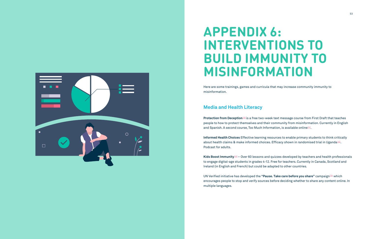<span id="page-26-0"></span>

# **APPENDIX 6: INTERVENTIONS TO BUILD IMMUNITY TO MISINFORMATION**

Here are some trainings, games and curricula that may increase community immunity to misinformation.

**Informed Health Choices** Effective learning resources to enable primary students to think critically about health claims & make informed choices. Efficacy shown in randomised trial in Uganda<sup>142</sup>. Podcast for adults.

**Kids Boost Immunity**[143](https://kidsboostimmunity.com) – Over 60 lessons and quizzes developed by teachers and health professionals to engage digital-age students in grades 4-12. Free for teachers. Currently in Canada, Scotland and Ireland (in English and French) but could be adapted to other countries.

UN Verified initiative has developed the **"Pause. Take care before you share"** campaign[144](https://www.takecarebeforeyoushare.org) which encourages people to stop and verify sources before deciding whether to share any content online. In multiple languages.

### **Media and Health Literacy**

**Protection from Deception**<sup>[140](https://firstdraftnews.org/latest/course-training-us-election-misinformation/)</sup> is a free two-week text message course from First Draft that teaches people to how to protect themselves and their community from misinformation. Currently in English and Spanish. A second course, Too Much Information, is available online<sup>141</sup>.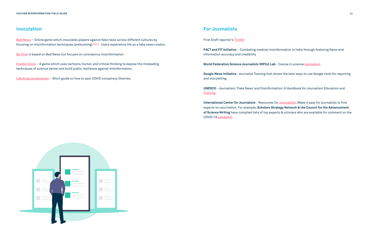First Draft reporter's **[Toolkit](https://start.me/p/vjv80b/first-draft-basic-toolkit)**

**FACT and FIT Initiative** – Combating medical misinformation in India through fostering News and information accuracy and credibility

**World Federation Science Journalists (WFSJ) Lab** - Course in science **[journalism](http://www.wfsj.org/course/)**

**Google News Initiative** -Journalist Training that shows the best ways to use Google tools for reporting and storytelling.

**[Bad News](https://www.getbadnews.com/#intro)** – Online game which inoculates players against fake news across different cultures by focusing on misinformation techniques (prebunking)<sup>145,[146](http://doi.org/10.5334/joc.91)</sup>. Users experience life as a fake news creator.

> **UNESCO** - Journalism, 'Fake News' and Disinformation: A Handbook for Journalism Education and **[Training](https://newsinitiative.withgoogle.com/training/)**

**International Center for Journalists** - Resources for **[Journalists](https://newsinitiative.withgoogle.com/training/)**. Make it easy for journalists to find experts on vaccination. For example, **Scholars Strategy Network & the Council for the Advancement of Science Writing** have compiled lists of top experts & scholars who are available for comment on the COVID-19 **[pandemic](https://scholars.org/connect-scholar)**



**[Go Viral](https://www.goviralgame.com/en)** is based on Bad News but focuses on coronavirus misinformation.

**[Cranky Uncle](https://crankyuncle.com/game/)** – A game which uses cartoons, humor, and critical thinking to expose the misleading techniques of science denial and build public resilience against misinformation.

**[Catching conspiracies](https://www.climatechangecommunication.org/wp-content/uploads/2020/05/How-to-Spot-COVID-19-Conspiracy-Theories.pdf)** – Short guide on how to spot COVID conspiracy theories.

#### **Inoculation For Journalists**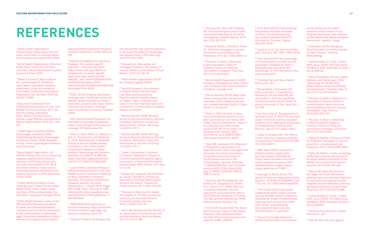# <span id="page-28-0"></span>**REFERENCES**

1 World Health Organization: Immunization https://www.who.int/ news-room/facts-in-pictures/detail/ immunization (accessed 9 Nov 2020)

2 World Health Organization: Polio fact sheet https://www.who.int/newsroom/fact-sheets/detail/poliomyelitis (accessed 9 Nov 2020)

3 Nandi A, Kumar S, Shet A, Bloom DE, Laxminarayan R. Childhood vaccinations and adult schooling attainment: Long-term evidence from India's Universal Immunization Programme. Soc Sci Med. 2020 Feb 26;250:112885.

4 Return On Investment From Childhood Immunization In Low- And Middle-Income Countries, 2011–20 Sachiko Ozawa, Samantha Clark, Allison Portnoy, Simrun Grewal, Logan Brenzel, and Damian G. Walker Health Affairs 2016 35:2, 199- 207

5 Copenhagen Consensus Center. Copenhagen consensus 2008. Fredriksberg, Denmark: Copenhagen Consensus Center; 2008. Available at http://www.copenhagenconsensus. com/home.aspx

6 World Health Organization: 20 million children miss out on lifesaving measles, diphtheria and tetanus vaccine in 2018 https://www.who. int/news-room/detail/15-07-2019- 20-million-children-miss-out-onlifesaving-measles-diphtheria-andtetanus-vaccines-in-2018 (Accessed 10 Nov 2020)

7 United Nations Children's Fund, 'Child Survival: Under-five mortality', March 2018, <https://data.unicef. org/topic/child-survival/under-fivemortality/>,accessed 16 August 2018. <sup>12</sup> Okoli, G., Abou-Setta, A., Neilson, C., Chit, A., Thommes, E. and Mahmud, S., 2019. Determinants of Seasonal Influenza Vaccine Uptake Among the Elderly in the United States: A Systematic Review and Meta-Analysis. Gerontology and Geriatric Medicine, 5, p.233372141987034. https://journals.sagepub.com/doi/ full/10.1177/2333721419870345

8 ECDC (2020) Systemic review of the efficacy, effectiveness and safety of newer and enhanced seasonal influenza vaccines for the prevention of lab-confirmed flu in individuals aged 18 and over Available at: https:// www.ecdc.europa.eu/sites/default/

files/documents/seasonal-influenzavaccines-systematic-review-efficacy. pdf

9 National Foundation for Infectious Diseases: Flu in adults age 65 and older – what are the risks? https://www.nfid.org/infectiousdiseases/flu-in-adults-age-65 years-and-older-what-are-therisks/#:~:text=Older%20adults%20 are%20at%20higher,of%20 infection%20for%20those%2065%2B. (Accessed 9 Nov 2020)

> <sup>20</sup> MacDonald NE; SAGE Working Group on Vaccine Hesitancy. Vaccine hesitancy: Definition, scope and determinants. Vaccine. 2015 Aug 14;33(34):4161-4

10 ECDC (2018) Influenza vaccination coverage rates insufficient across EU Member States Available at: https:// www.ecdc.europa.eu/en/news-events/ influenza-vaccination-coveragerates-insufficient-across-eu-memberstates

> <sup>22</sup> Brewer NT, Chapman GB, Rothman AJ, Leask J, Kempe A. Increasing Vaccination: Putting Psychological Science Into Action. Psychol Sci Public Interest. 2017;18(3):149-207.

11 CDC (2019) General Population Flu Vaccination Coverage. Available at : https://www.cdc.gov/flu/fluvaxview/ coverage-1819estimates.htm

<sup>25</sup> Hornsey MJ, Harris EA, Fielding KS. The psychological roots of antivaccination attitudes: A 24-nation investigation. Health Psychol. 2018 Apr; 37(4):307-315

<sup>26</sup> Nyhan B, Reifler J, Richey S, Freed GL. Effective messages in vaccine promotion: a randomized trial. Pediatrics. 2014 Apr;133(4):e835-42

<sup>27</sup> Pluviano S, Watt C, Della Sala S. Misinformation lingers in memory: Failure of three provaccination strategies. PLoS One. 2017;12(7):e0181640.

13 Justin R Ortiz, Kathleen M Neuzil, Influenza Immunization in Low- and Middle-Income Countries: Preparing for Next-Generation Influenza Vaccines, The Journal of Infectious Diseases, Volume 219, Issue Supplement\_1, 15 April 2019, Pages S97–S106, https://doi.org/10.1093/ infdis/jiz024 https://academic.oup. com/jid/article/219/Supplement\_1/ S97/5304930

<sup>31</sup> Chan MS, Jamieson KH, Albarracin D. Prospective associations of regional social media messages with attitudes and actual vaccination: A big data and survey study of the influenza vaccine in the United States. Vaccine. 2020 Sep 11;38(40):6236-6247. doi: 10.1016/j. vaccine.2020.07.054. Epub 2020 Aug 10. PMID: 32792251; PMCID: PMC7415418.

14 WHO SAGE Working Group on Vaccine Hesitancy https://www.who. int/immunization/sage/sage\_wg\_ vaccine\_hesitancy\_apr12/en

15 Rosselli R, Martini M, Bragazzi NL.

33 First Draft (6 July 2020) The Seven Most Common Types of Information Disorder | USA examples [Video] YouTube https://www.youtube.com/ watch?v=klBW\_LMPZvE

The old and the new: vaccine hesitancy in the era of the Web 2.0. Challenges and opportunities. J Prev Med Hyg. 2016;57(1):E47-E50.

<sup>34</sup> First Draft (2019) Understanding Information Disorder. Available at: https://firstdraftnews.org/ wp-content/uploads/2019/10/ Information\_Disorder\_Digital\_

<sup>35</sup> Lazer, D. et al. The science of fake news. Science 359, 1094–1096 (2018).

16 Schwartz JL, New media, old messages: Themes in the history of vaccine hesitancy and refusal. Virtual Mentor. 2012;14(1):50-55

<sup>36</sup> First Draft (2020) The psychology of misinformation and why we are vulnerable. Available at: https:// firstdraftnews.org/latest/thepsychology-of-misinformation-whywere-vulnerable/

<sup>37</sup> Thinking Fast and Slow. Daniel Kahneman. 2011

17 World Health Organisation (2019): Ten threats to global health

18 Byrd B, Smyser J; Grantmakers In Health. Notes from the Field. Lies, Bots, and Coronavirus: Misinformation's Deadly Impact on Health. https://www.gih.org/ views-from-the-field/lies-bots-andcoronavirus-misinformations-deadlyimpact-on-health/

19 MacDonald NE; SAGE Working Group on Vaccine Hesitancy. Vaccine hesitancy: Definition, scope and determinants. Vaccine. 2015 Aug 14;33(34):4161-4

21 Leask J, Kinnersley P, Jackson C, Cheater F, Bedford H, Rowles G. Communicating with parents about vaccination: a framework for health professionals. BMC Pediatr. 2012 Sep 21;12:154

23 Thomson A, Robinson K, Vallée-Tourangeau G. The 5As: A practical taxonomy for the determinants of vaccine uptake. Vaccine. 2016;17;34(8):1018–24

24 Amin AB, Bednarczyk RA, Ray CE, et al. Association of moral values with vaccine hesitancy. Nat Hum Behav. 2017;1(12):873-880

28 World Health Organization (2020) Infodemic Management https://www. who.int/teams/risk-communication/ infodemic-management

29 Data & Society (2019). Data voids: where missing data can easily be exploited. https://datasociety.net/ wp- content/uploads/2019/11/Data-Voids-2.0-Final.pdf

30 Bote, J., 2020. At least 44 dead from drinking toxic alcohol in Iran after coronavirus cure rumor. USA Today, [online] Available at: <https:// eu.usatoday.com/story/news/ world/2020/03/10/44-dead-irandrinking-toxic-alcohol-fakecoronavirus-cure/5009761002/> [Accessed 9 November 2020].

32 Jamison, MA; Broniatowski, DA; Dredze, M.; Sangraula, A.; Smith, M. C.; Quinn, S. C. (2020). Not just conspiracy theories: Vaccine opponents and proponents add to the COVID-19 'infodemic' on Twitter. The Harvard Kennedy School (HKS) Misinformation Review, 1(3).

AW.pdf?x76701

38 Roozenbeek J, Schneider CR, Dryhurst S, Kerr J, Freeman ALJ, Recchia G, van der Bles AM, van der Linden S. 2020 Susceptibility to misinformation about COVID-19 around the world. R. Soc. Open Sci. 7: 201199.

39 van der Linden S, Panagopoulos C, Azevedo F, Jost JT. 2020 The paranoid style in American politics revisited: evidence of an ideological asymmetry in conspiratorial thinking. Polit. Psychol. (doi:10.1111/pops.12681)

40 Jolley D, Douglas KM. The effects of anti-vaccine conspiracy theories on vaccination intentions. PLOS ONE 2014;9(2):e89177.

41 NBC News (2020) Coronavirus misinformation surges fueld by clout chasers. Available at : https://www.nbcnews.com/tech/ social-media/coronavirus-%20 misinformation-surges-fueledchase-attention-n1126511

42 Vosoughi S, Roy D, Aral S. The spread of true and false news online. Science. 2018 Mar 9;359(6380):1146- 1151. doi: 10.1126/science.aap9559.

43 First Draft (2020) Case study: Understanding the impact of polio vaccine disinformation in Pakistan. Available at: https://firstdraftnews. org/long-form-article/first-draftcase-study-understandingthe-impact-of-polio-vaccinedisinformation-in-pakistan/

44 Council on Foreign Relations (2019) Disinformation and disease: social media and the Ebola epidemic https://www.cfr.org/ blog/disinformation-and-diseasesocial-media-and-ebola-epidemicdemocratic-republic-congo

45 Internews (2019). Managing Misinformation in a Humanitarian Context: Rumour Tracking Methodology

46 Lewandowsky, S, Cook, J, Ecker, UKH., et al. (2020). The Debunking Handbook 2020. Available at https:// sks.to/db2020.

47 Swire-Thompson, Briony, Joseph DeGutis, and David Lazer. 2020. "Searching for the Backfire Effect: Measurement and Design Considerations." PsyArXiv. May 15. doi:10.31234/osf.io/ba2kc

48 Pluviano S, Watt C, Ragazzini G, Della Sala S. Parents' beliefs in misinformation about vaccines are strengthened by pro-vaccine campaigns. Cogn Process. 2019;20(3):325-331

49 Pluviano S, Watt C, Della Sala S. Misinformation lingers in memory: Failure of three provaccination strategies. PLoS One. 2017;12(7):e0181640

50 Nyhan B, Reifler J, Richey S, Freed GL. Effective messages in vaccine promotion: a randomized trial. Pediatrics. 2014;133(4):e835-e842.

51 Nyhan B, Reifler J. Does correcting myths about the flu vaccine work? An experimental evaluation of the effects of corrective information. Vaccine. 2015;33(3):459-464

52 Reavis RD, Ebbs JB, Onunkwo AK, Sage LM. A self-affirmation exercise does not improve intentions to vaccinate among parents with negative vaccine attitudes (and may decrease intentions to vaccinate). PLoS One. 2017;12(7):e0181368.

53 Lewandowsky, S, Cook, J, Ecker, UKH., et al. (2020). The Debunking Handbook 2020. Available at https:// sks.to/db2020.

54 Thinking Fast and Slow. Daniel Kahneman. 2011

55 Deer B. How the case against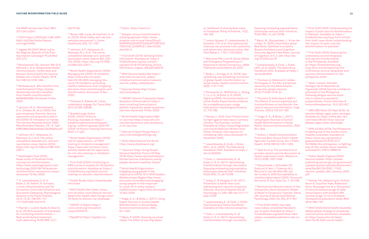<span id="page-29-0"></span>the MMR vaccine was fixed. BMJ. 2011;342:c5347.

56 CCDH https://252f2edd-1c8b-49f5- 9bb2-cb57bb47e4ba.filesusr. com/ugd/f4d9b

57 Jegede AS (2007) What Led to the Nigerian Boycott of the Polio Vaccination Campaign? PLoS Med 4(3): e73.

58 Broniatowski DA, Jamison AM, Qi S, AlKulaib L, et al. Weaponized Health Communication: Twitter Bots and Russian Trolls Amplify the Vaccine Debate. Am J Public Health. 2018 Oct;108(10):1378-1384.

59 McAweeney E. Who benefits from misinformation? https://points. datasociety.net/who-benefitsfrom-health-misinformation-8d094804058d (Accessed 10 Nov 2020)

60 Jamison, M. A.; Broniatowski, D. A.; Dredze, M.; et al (2020). Not just conspiracy theories: Vaccine opponents and proponents add to the COVID-19 'infodemic' on Twitter. The Harvard Kennedy School (HKS) Misinformation Review, 1(3). 9\_7aa1 bf9819904295a0493a013b285a6b.pdf

61 Johnson, N.F., Velásquez, N., Restrepo, N.J. et al. The online competition between pro- and antivaccination views. Nature (2020). https://doi.org/10.1038/s41586-020- 2281-1

62 Washington Post (2020). Avaaz study of Facebook finds coronavirus misinformation. https://www.washingtonpost.com/ technology/2020/08/19/facebookmisinformation-coronavirus-avaaz/ (Accessed 10 Nov 2020)

<sup>69</sup> Breakthrough Action (2020). COVID-19 Rumor Tracking. Available at: https:// breakthroughactionandresearch. org/wp-content/uploads/2020/05/ COVID-19-Rumor-Tracking-Technical-Brief\_v1.1.pdf

63 S. Lewandowsky, U. K. H. Ecker, C. M. Seifert, N. Schwarz, J. Cook. Misinformation and Its Correction: Continued Influence and Successful Debiasing. Psychological Science in the Public Interest, 2012; 13 (3): 106 DOI: 10.1 177/1529100612451018

64 Paynter J, Luskin-Saxby S, Keen D, et al. (2019) Evaluation of a template for countering misinformation— Real-world Autism treatment myth debunking. PLOS ONE 14(1):

#### e0210746.

65 Moran, MB, Lucas, M, Everhart, K, et al. (2016). What makes anti-vaccine websites persuasive? J. Comm Healthcare, 9(3), 151–163

> 80 Vaccines Today https://www. vaccinestoday.eu

66 Johnson, N.F., Velásquez, N., Restrepo, N.J. et al. The online competition between pro- and antivaccination views. Nature 582, 230– 233 (2020). https://doi.org/10.1038/ s41586-020-2281-1

> 82 World Health Organization Q&A on vaccines https://www.who.int/ vaccines/questions-and-answers/qa-on-vaccines

83 Internet of Good Things https:// www.internetofgoodthings.org

84 Shots Heard Around the World https://www.shotsheard.org/

67 World Health Organization (2020): Managing the COVID-19 infodemic https://www.who.int/news/ item/23-09-2020-managing-thecovid-19-infodemic-promotinghealthy-behaviours-and-mitigatingthe-harm-from-misinformation-anddisinformation (Accessed 10 Nov 2020)

> 85 Vaccines Today. Young People Demand Healthier Future (20 May 2019) https://www.vaccinestoday.eu/ stories/vaccine-champions-youngpeople-demand-healthier-future/

86 World Health Organization: Engaging young people in the response to COVID-19 in WHO Eastern Mediterranean Region http://www. emro.who.int/media/news/engagingyoung-people-in-the-responseto-covid-19-in-whos-easternmediterranean-region.html (Accessed 10 Nov 2020)

68 Thomson A, Watson M. Listen, understand, engage. Sci Transl Med. 2012;4(138):138ed6.

> 88 Mena, P. (2020). Cleaning up social media: The effect of warning labels

89 Lorenz-Spreen, P., Lewandowsky, S., Sunstein, C.R. et al. How behavioural sciences can promote truth, autonomy and democratic discourse online. Nat Hum Behav 4, 1102–1109 (2020).

70 World Health Organization (2020) Call for applications: 1st WHO training in infodemic management https://www.who.int/news-room/ articles-detail/call-for-applicantsfor-1st-who-training-in-infodemicmanagement

<sup>91</sup> Bode, L., & Vraga, E. K. (2018). See something, say something: Correction of global health misinformation on social media. Health Communication, 33(9), 1131-1140.

71 First Draft (2020) Introducing an SMS course to prepare for US election misinformation. Avaialble at: https:// firstdraftnews.org/latest/coursetraining-us-election-misinformation/

93 Henley, J., 2020. How Finland starts its fight against fake news in primary schools. The Guardian, [online] Available at: https://www.theguardian. com/world/2020/jan/28/fact-fromfiction-finlands-new-lessons-incombating-fake-news [Accessed 10 November 2020].

72 Health Buddy https://healthbuddy. info/index

94 Lewandowsky, S, Cook, J, Ecker, UKH., et al. (2020). The Debunking Handbook 2020. Available at https:// sks.to/db2020.

73 WHO Health Alert https://www. who.int/news-room/feature-stories/ detail/who-health-alert-brings-covid-19-facts-to-billions-via-whatsapp

74 UNICEF U-Report https:// www.unicef.org/innovation/ ureportCOVID19

96 Jolley, D., & Douglas, K. M. (2017). Prevention is better than cure: Addressing anti-vaccine conspiracy theories. Journal of Applied Social Psychology, 47, 459–469. doi:10.1111/ jasp.12453

75 RapidProf https://rapidpro.io/

97 Lewandowsky, S., & Cook, J. (2020). The Conspiracy Theory Handbook. Available at http://sks.to/conspiracy

#### 76 Viamo https://viamo.io/

98 Cook, J., Lewandowsky, S., & Ecker, U. K. H. (2017). Neutralizing misinformation through inoculation:

77 Sample rumour/misinformation tracking approach https://www. dropbox.com/s/ruyw1rtwwl35up2/ RUMOR%20EVENT%20CAPTURE%20 TOOL%20\_EXAMPLE1\_Mar%2020. docx?dl=0

99 Basol, M., Roozenbeek, J., & van der Linden, S. (2020). Good News about Bad News: Gamified Inoculation Boosts Confidence and Cognitive Immunity Against Fake News. Journal of Cognition, 3(1), 2. DOI: http://doi. org/10.5334/joc.91

78 First Draft (2019): Verifying Online Information. Available at: https:// firstdraftnews.org/wp-content/ uploads/2019/10/Verifying\_Online\_ Information\_Digital\_AW.pdf?x65316

> 101 Thomson A, Robinson K, Vallée-Tourangeau G. The 5As: A practical taxonomy for the determinants of vaccine uptake. Vaccine. 2016;17;34(8):1018–24

79 WHO Vaccine Safety Net https:// www.who.int/vaccine\_safety/ initiative/communication/network/ vaccine\_safety\_websites/en/

81 UNICEF: Parents' Frequently Asked Questions (Immunization) https:// www.unicef.org/immunization/ parents-frequently-asked-questionsvaccines (Accessed 10 Nov 2020)

> 105 Opel DJ et al. The architecture of provider-parent vaccine discussion at health supervision visits. Pediatrics. 2013;132(6): 1037-1046

111 Heidi J Larson, Kenneth Hartigan-Go & Alexandre de Figueiredo (2019) Vaccine confidence plummets in the Philippines following dengue vaccine scare: why it matters to pandemic preparedness, Human Vaccines & Immunotherapeutics, 15:3, 625-627

87 Vraga, E. K., & Bode, L. (2017). Using Expert Sources to Correct Health Misinformation in Social Media. Science Communication, 39(5), 621–645.

on likelihood of sharing false news on Facebook. Policy & Internet, 12(2), 165-183.

90 Merchant RM, Lurie N. Social Media and Emergency Preparedness in Response to Novel Coronavirus. JAMA. Published online March 23, 2020.

92 Pennycook, G., McPhetres, J., Zhang, Y., Lu, J. G., & Rand, D. G. (2020). Fighting COVID-19 misinformation on social media: Experimental evidence for a scalable accuracy-nudge intervention. Psychological Science, 31, 770-780.

95 Cook, J., Lewandowsky, S., & Ecker, U. K. H. (2017). Neutralizing misinformation through inoculation: Exposing misleading argumentation techniques reduces their influence. PLOS ONE, 12, e0175799.

Exposing misleading argumentation techniques reduces their influence. PLOS ONE, 12, e0175799.

100 Lewandowsky, S, Cook, J, Ecker, UKH., et al. (2020). The Debunking Handbook 2020. Available at https:// sks.to/db2020.

102 Pluviano S, Della Sala S, Watt C. The effects of source expertise and trustworthiness on recollection: the case of vaccine misinformation. Cogn Process. 2020;21(3):321-330

103 Vraga, E. K., & Bode, L. (2017). Using Expert Sources to Correct Health Misinformation in Social Media. Science Communication, 39(5), 621–645.

104 Sutton J. Health Communication Trolls and Bots Versus Public Health Agencies' Trusted Voices. Am J Public Health. 2018;108(10):1281–1282.

106 Roozenbeek J, Schneider CR, Dryhurst S, Kerr J, Freeman ALJ, Recchia G, van der Bles AM, van der Linden S. 2020 Susceptibility to misinformation about COVID-19 around the world. R. Soc. Open Sci. 7: 201199

107 Mistrust and Misinformation: A Two-Component, Socio-Epistemic Model of Belief in Conspiracy Theories. Pierre JM. Journal of Social and Political Psychology, 2020, Vol. 8(2), 617–641

108 First Draft (2020). How fake news videos unravelled Pakistan's war on polio. Available at: https:// firstdraftnews.org/latest/how-fakevideos-unravelled-pakistans-war-onpolio/

109 First Draft (2020: Understanding the impact of polio vaccine disinformation in Pakistan. Available at: https:// firstdraftnews.org/long-form-article/ first-draft-case-study-understandingthe-impact-of-polio-vaccinedisinformation-in-pakistan/

110 First Draft (2020): Exploring the controversy around Dengvaxia and vaccine misinformation in the Philippines. Available at: https://firstdraftnews.org/ long-form-article/exploring-thecontroversy-around-dengvaxia-andvaccine-misinformation-in-thephilippines-draft/

112 ABS:CBN News (20 Sept 2019). As vaccine debate rages, polio remerges. Available at: https://news.abs-cbn. com/news/09/20/19/as-vaccinedebate-rages-polio-reemerges

113 NPR (23 May 2019). The Philippines is fighting one of the world's worst measles outbreaks. Available at: https://www.npr.org/sections/ goatsandsoda/2019/05/23/7 25726094/the-philippines-is-fightingone-of-the-worlds-worst-measlesoutbreaks?t=1597412968229

114 Public Health England (2020): Vaccine Update https://assets. publishing.service.gov.uk/government/ uploads/system/uploads/attachment\_ data/file/861230/PHE\_11533\_ vaccine\_update\_304\_January\_2020. pdf

115 Palmer Tim, Wallace Lynn, Pollock Kevin G, Cuschieri Kate, Robertson Chris, Kavanagh Kim et a. Prevlanace of cervical disease at age 20 after immunisation with bivalent HPV vaccine at age 12-13 in Scotland: retrospective population study. BMJ. 2019; 365:1161

116 WHO (2020) World Health Assembly adopts global strategy to accelerate cervical cancer elimination. Available at: https://www.who.int/news/ item/19-08-2020-world-health